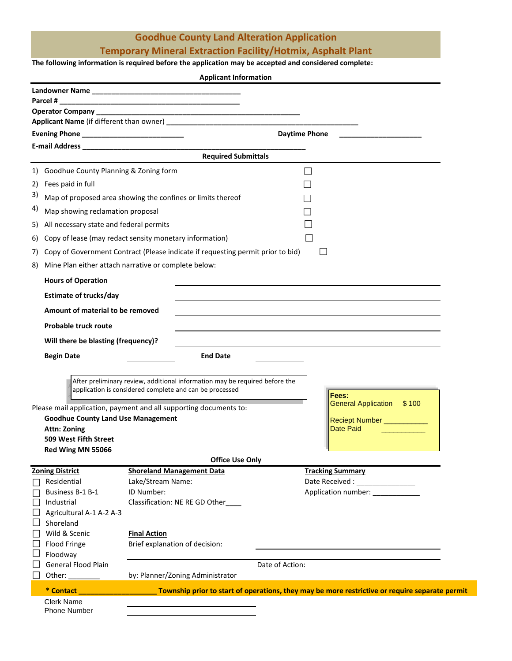## **Goodhue County Land Alteration Application**

### **Temporary Mineral Extraction Facility/Hotmix, Asphalt Plant**

#### **The following information is required before the application may be accepted and considered complete:**

|                                        | <b>Applicant Information</b>                                                    |                                                                                                |  |  |
|----------------------------------------|---------------------------------------------------------------------------------|------------------------------------------------------------------------------------------------|--|--|
|                                        |                                                                                 |                                                                                                |  |  |
| Parcel #                               |                                                                                 |                                                                                                |  |  |
|                                        |                                                                                 |                                                                                                |  |  |
|                                        |                                                                                 |                                                                                                |  |  |
|                                        |                                                                                 | <b>Daytime Phone</b>                                                                           |  |  |
|                                        | <b>Required Submittals</b>                                                      |                                                                                                |  |  |
|                                        |                                                                                 |                                                                                                |  |  |
|                                        | 1) Goodhue County Planning & Zoning form                                        |                                                                                                |  |  |
| Fees paid in full<br>2)                |                                                                                 |                                                                                                |  |  |
| 3)                                     | Map of proposed area showing the confines or limits thereof                     |                                                                                                |  |  |
| 4)<br>Map showing reclamation proposal |                                                                                 |                                                                                                |  |  |
| 5)                                     | All necessary state and federal permits                                         |                                                                                                |  |  |
| 6)                                     | Copy of lease (may redact sensity monetary information)                         |                                                                                                |  |  |
| 7)                                     | Copy of Government Contract (Please indicate if requesting permit prior to bid) |                                                                                                |  |  |
| 8)                                     | Mine Plan either attach narrative or complete below:                            |                                                                                                |  |  |
|                                        |                                                                                 |                                                                                                |  |  |
| <b>Hours of Operation</b>              |                                                                                 |                                                                                                |  |  |
| <b>Estimate of trucks/day</b>          |                                                                                 |                                                                                                |  |  |
| Amount of material to be removed       |                                                                                 |                                                                                                |  |  |
| <b>Probable truck route</b>            |                                                                                 |                                                                                                |  |  |
| Will there be blasting (frequency)?    |                                                                                 |                                                                                                |  |  |
| <b>Begin Date</b>                      | <b>End Date</b>                                                                 |                                                                                                |  |  |
|                                        |                                                                                 |                                                                                                |  |  |
|                                        | After preliminary review, additional information may be required before the     |                                                                                                |  |  |
|                                        | application is considered complete and can be processed                         |                                                                                                |  |  |
|                                        |                                                                                 | Fees:<br>General Application \$100                                                             |  |  |
|                                        | Please mail application, payment and all supporting documents to:               |                                                                                                |  |  |
| <b>Attn: Zoning</b>                    | <b>Goodhue County Land Use Management</b>                                       | Reciept Number <b>Number</b><br><b>Date Paid</b>                                               |  |  |
| 509 West Fifth Street                  |                                                                                 |                                                                                                |  |  |
| Red Wing MN 55066                      |                                                                                 |                                                                                                |  |  |
|                                        | <b>Office Use Only</b>                                                          |                                                                                                |  |  |
| <b>Zoning District</b>                 | <b>Shoreland Management Data</b>                                                | <b>Tracking Summary</b>                                                                        |  |  |
| Residential                            | Lake/Stream Name:                                                               | Date Received : _________________                                                              |  |  |
| Business B-1 B-1                       | ID Number:                                                                      | Application number: _____________                                                              |  |  |
| Industrial                             | Classification: NE RE GD Other                                                  |                                                                                                |  |  |
| Agricultural A-1 A-2 A-3<br>Shoreland  |                                                                                 |                                                                                                |  |  |
| Wild & Scenic                          | <b>Final Action</b>                                                             |                                                                                                |  |  |
| Flood Fringe                           | Brief explanation of decision:                                                  |                                                                                                |  |  |
| Floodway                               |                                                                                 |                                                                                                |  |  |
| <b>General Flood Plain</b>             |                                                                                 | Date of Action:                                                                                |  |  |
| Other: $\_\_$                          | by: Planner/Zoning Administrator                                                |                                                                                                |  |  |
| * Contact <b>All Contact</b>           |                                                                                 | Township prior to start of operations, they may be more restrictive or require separate permit |  |  |
| <b>Clerk Name</b>                      |                                                                                 |                                                                                                |  |  |
| <b>Phone Number</b>                    |                                                                                 |                                                                                                |  |  |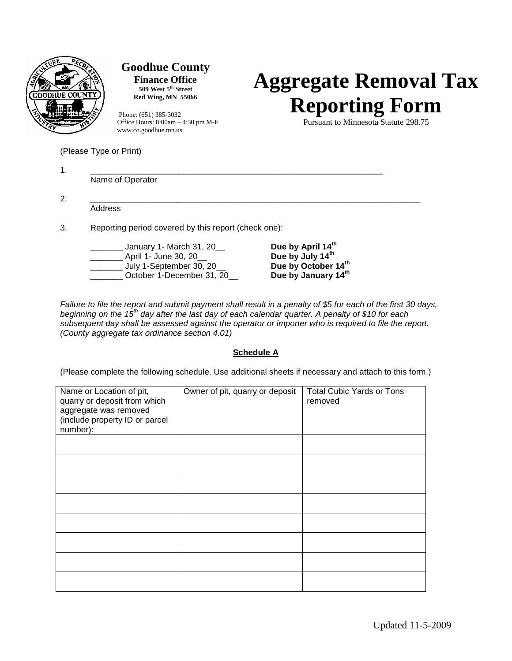

(Please Type or Print)

## **Goodhue County**

**Finance Office 509 West 5th Street Red Wing, MN 55066**

Phone: (651) 385-3032<br>Office Hours: 8:00am – 4:30 pm M-F<br>Pursuant to Minnesota Statute 298.75 Office Hours: 8:00am – 4:30 pm M-F www.co.goodhue.mn.us

# **Aggregate Removal Tax Reporting Form**

| Name of Operator                                                                                            |                                                                                                             |  |
|-------------------------------------------------------------------------------------------------------------|-------------------------------------------------------------------------------------------------------------|--|
| Address                                                                                                     |                                                                                                             |  |
| Reporting period covered by this report (check one):                                                        |                                                                                                             |  |
| January 1- March 31, 20__<br>April 1- June 30, 20__<br>July 1-September 30, 20<br>October 1-December 31, 20 | Due by April 14 <sup>th</sup><br>Due by July 14 <sup>th</sup><br>Due by October 14th<br>Due by January 14th |  |

*Failure to file the report and submit payment shall result in a penalty of \$5 for each of the first 30 days, beginning on the 15th day after the last day of each calendar quarter. A penalty of \$10 for each subsequent day shall be assessed against the operator or importer who is required to file the report. (County aggregate tax ordinance section 4.01)*

### **Schedule A**

(Please complete the following schedule. Use additional sheets if necessary and attach to this form.)

| Name or Location of pit,<br>quarry or deposit from which<br>aggregate was removed<br>(include property ID or parcel<br>number): | Owner of pit, quarry or deposit | <b>Total Cubic Yards or Tons</b><br>removed |
|---------------------------------------------------------------------------------------------------------------------------------|---------------------------------|---------------------------------------------|
|                                                                                                                                 |                                 |                                             |
|                                                                                                                                 |                                 |                                             |
|                                                                                                                                 |                                 |                                             |
|                                                                                                                                 |                                 |                                             |
|                                                                                                                                 |                                 |                                             |
|                                                                                                                                 |                                 |                                             |
|                                                                                                                                 |                                 |                                             |
|                                                                                                                                 |                                 |                                             |